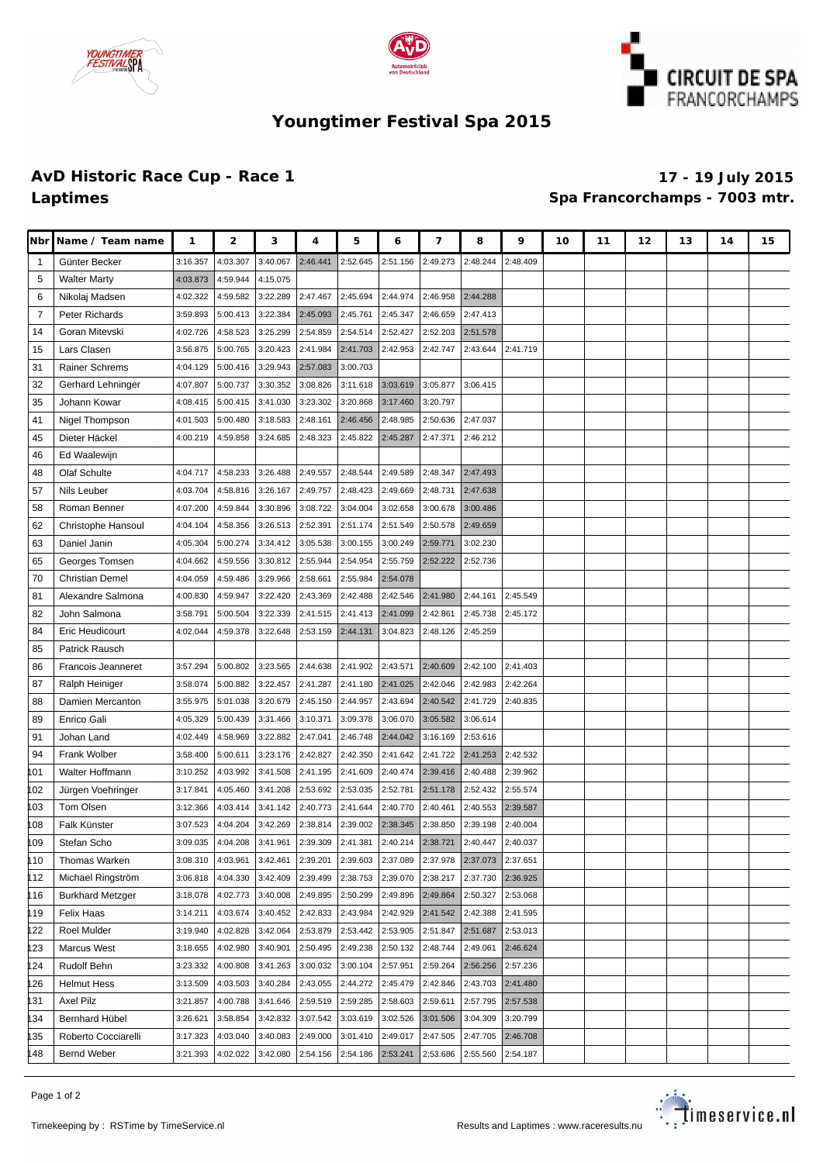





## **Youngtimer Festival Spa 2015**

## **AvD Historic Race Cup - Race 1 17 - 19 July 2015 Laptimes Spa Francorchamps - 7003 mtr.**

| <b>Nbr</b>   | Name / Team name                   | 1                    | $\mathbf{z}$         | з                    | 4                    | 5                    | 6                    | 7                    | 8                    | 9                    | 10 | 11 | 12 | 13 | 14 | 15 |
|--------------|------------------------------------|----------------------|----------------------|----------------------|----------------------|----------------------|----------------------|----------------------|----------------------|----------------------|----|----|----|----|----|----|
| $\mathbf{1}$ | Günter Becker                      | 3:16.357             | 4:03.307             | 3:40.067             | 2:46.441             | 2:52.645             | 2:51.156             | 2:49.273             | 2:48.244             | 2:48.409             |    |    |    |    |    |    |
| 5            | <b>Walter Marty</b>                | 4:03.873             | 4:59.944             | 4:15.075             |                      |                      |                      |                      |                      |                      |    |    |    |    |    |    |
| 6            | Nikolaj Madsen                     | 4:02.322             | 4:59.582             | 3:22.289             | 2:47.467             | 2:45.694             | 2:44.974             | 2:46.958             | 2:44.288             |                      |    |    |    |    |    |    |
| 7            | Peter Richards                     | 3:59.893             | 5:00.413             | 3:22.384             | 2:45.093             | 2:45.761             | 2:45.347             | 2:46.659             | 2:47.413             |                      |    |    |    |    |    |    |
| 14           | Goran Mitevski                     | 4:02.726             | 4:58.523             | 3:25.299             | 2:54.859             | 2:54.514             | 2:52.427             | 2:52.203             | 2:51.578             |                      |    |    |    |    |    |    |
| 15           | Lars Clasen                        | 3:56.875             | 5:00.765             | 3:20.423             | 2:41.984             | 2:41.703             | 2:42.953             | 2:42.747             | 2:43.644             | 2:41.719             |    |    |    |    |    |    |
| 31           | Rainer Schrems                     | 4:04.129             | 5:00.416             | 3:29.943             | 2:57.083             | 3:00.703             |                      |                      |                      |                      |    |    |    |    |    |    |
| 32           | Gerhard Lehninger                  | 4:07.807             | 5:00.737             | 3:30.352             | 3:08.826             | 3:11.618             | 3:03.619             | 3:05.877             | 3:06.415             |                      |    |    |    |    |    |    |
| 35           | Johann Kowar                       | 4:08.415             | 5:00.415             | 3:41.030             | 3:23.302             | 3:20.868             | 3:17.460             | 3:20.797             |                      |                      |    |    |    |    |    |    |
| 41           | Nigel Thompson                     | 4:01.503             | 5:00.480             | 3:18.583             | 2:48.161             | 2:46.456             | 2:48.985             | 2:50.636             | 2:47.037             |                      |    |    |    |    |    |    |
| 45           | Dieter Häckel                      | 4:00.219             | 4:59.858             | 3:24.685             | 2:48.323             | 2:45.822             | 2:45.287             | 2:47.371             | 2:46.212             |                      |    |    |    |    |    |    |
| 46           | Ed Waalewijn                       |                      |                      |                      |                      |                      |                      |                      |                      |                      |    |    |    |    |    |    |
| 48           | Olaf Schulte                       | 4:04.717             | 4:58.233             | 3:26.488             | 2:49.557             | 2:48.544             | 2:49.589             | 2:48.347             | 2:47.493             |                      |    |    |    |    |    |    |
| 57           | Nils Leuber                        | 4:03.704             | 4:58.816             | 3:26.167             | 2:49.757             | 2:48.423             | 2:49.669             | 2:48.731             | 2:47.638             |                      |    |    |    |    |    |    |
| 58           | Roman Benner                       | 4:07.200             | 4:59.844             | 3:30.896             | 3:08.722             | 3:04.004             | 3:02.658             | 3:00.678             | 3:00.486             |                      |    |    |    |    |    |    |
| 62           | Christophe Hansoul                 | 4:04.104             | 4:58.356             | 3:26.513             | 2:52.391             | 2:51.174             | 2:51.549             | 2:50.578             | 2:49.659             |                      |    |    |    |    |    |    |
| 63           | Daniel Janin                       | 4:05.304             | 5:00.274             | 3:34.412             | 3:05.538             | 3:00.155             | 3:00.249             | 2:59.771             | 3:02.230             |                      |    |    |    |    |    |    |
| 65           | Georges Tomsen                     | 4:04.662             | 4:59.556             | 3:30.812             | 2:55.944             | 2:54.954             | 2:55.759             | 2:52.222             | 2:52.736             |                      |    |    |    |    |    |    |
| 70           | <b>Christian Demel</b>             | 4:04.059             | 4:59.486             | 3:29.966             | 2:58.661             | 2:55.984             | 2:54.078             |                      |                      |                      |    |    |    |    |    |    |
| 81           | Alexandre Salmona                  | 4:00.830             | 4:59.947             | 3:22.420             | 2:43.369             | 2:42.488             | 2:42.546             | 2:41.980             | 2:44.161             | 2:45.549             |    |    |    |    |    |    |
| 82           | John Salmona                       | 3:58.791             | 5:00.504             | 3:22.339             | 2:41.515             | 2:41.413             | 2:41.099             | 2:42.861             | 2:45.738             | 2:45.172             |    |    |    |    |    |    |
| 84           | Eric Heudicourt                    | 4:02.044             | 4:59.378             | 3:22.648             | 2:53.159             | 2:44.131             | 3:04.823             | 2:48.126             | 2:45.259             |                      |    |    |    |    |    |    |
| 85           | Patrick Rausch                     |                      |                      |                      |                      |                      |                      |                      |                      |                      |    |    |    |    |    |    |
| 86           | Francois Jeanneret                 | 3:57.294             | 5:00.802             | 3:23.565             | 2:44.638             | 2:41.902             | 2:43.571             | 2:40.609             | 2:42.100             | 2:41.403             |    |    |    |    |    |    |
| 87           | Ralph Heiniger                     | 3:58.074             | 5:00.882             | 3:22.457             | 2:41.287             | 2:41.180             | 2:41.025             | 2:42.046             | 2:42.983             | 2:42.264             |    |    |    |    |    |    |
| 88           | Damien Mercanton                   | 3:55.975             | 5:01.038             | 3:20.679             | 2:45.150             | 2:44.957             | 2:43.694             | 2:40.542             | 2:41.729             | 2:40.835             |    |    |    |    |    |    |
| 89           | Enrico Gali                        | 4:05.329             | 5:00.439             | 3:31.466             | 3:10.371             | 3:09.378             | 3:06.070             | 3:05.582             | 3:06.614             |                      |    |    |    |    |    |    |
| 91           | Johan Land                         | 4:02.449             | 4:58.969             | 3:22.882             | 2:47.041             | 2:46.748             | 2:44.042             | 3:16.169             | 2:53.616             |                      |    |    |    |    |    |    |
| 94           | <b>Frank Wolber</b>                | 3:58.400             | 5:00.611             | 3:23.176             | 2:42.827             | 2:42.350             | 2:41.642             | 2:41.722             | 2:41.253             | 2:42.532             |    |    |    |    |    |    |
| 101          | Walter Hoffmann                    | 3:10.252             | 4:03.992             | 3:41.508             | 2:41.195             | 2:41.609             | 2:40.474             | 2:39.416             | 2:40.488             | 2:39.962             |    |    |    |    |    |    |
| 102          | Jürgen Voehringer                  | 3:17.841             | 4:05.460             | 3:41.208             | 2:53.692             | 2:53.035             | 2:52.781             | 2:51.178             | 2:52.432             | 2:55.574             |    |    |    |    |    |    |
| 103          | Tom Olsen                          | 3:12.366             | 4:03.414             | 3:41.142             | 2:40.773             | 2:41.644             | 2:40.770             | 2:40.461             | 2:40.553             | 2:39.587             |    |    |    |    |    |    |
| 108          | Falk Künster                       | 3:07.523             | 4:04.204             | 3:42.269             | 2:38.814             | 2:39.002             | 2:38.345             | 2:38.850             | 2:39.198             | 2:40.004             |    |    |    |    |    |    |
| 109          | Stefan Scho                        | 3:09.035             | 4:04.208             | 3:41.961             | 2:39.309             | 2:41.381             | 2:40.214             | 2:38.721             | 2:40.447             | 2:40.037             |    |    |    |    |    |    |
| 110          | Thomas Warken                      | 3:08.310             | 4:03.961             | 3:42.461             | 2:39.201             |                      | 2:39.603 2:37.089    | 2:37.978             | 2:37.073             | 2:37.651             |    |    |    |    |    |    |
| 112          | Michael Ringström                  | 3:06.818             | 4:04.330             | 3:42.409             | 2:39.499             | 2:38.753             | 2:39.070             | 2:38.217             | 2:37.730             | 2:36.925             |    |    |    |    |    |    |
| 116          | <b>Burkhard Metzger</b>            | 3:18.078             | 4:02.773             | 3:40.008             | 2:49.895             | 2:50.299             | 2:49.896             | 2:49.864             | 2:50.327             | 2:53.068             |    |    |    |    |    |    |
| 119          | Felix Haas                         | 3:14.211             | 4:03.674             | 3:40.452             | 2:42.833             | 2:43.984             | 2:42.929             | 2:41.542             | 2:42.388             | 2:41.595             |    |    |    |    |    |    |
| 22           | Roel Mulder                        | 3:19.940             | 4:02.828             | 3:42.064             | 2:53.879             | 2:53.442             | 2:53.905             | 2:51.847             | 2:51.687             | 2:53.013             |    |    |    |    |    |    |
| 123          | Marcus West                        | 3:18.655             | 4:02.980             | 3:40.901             | 2:50.495             | 2:49.238             | 2:50.132             | 2:48.744             | 2:49.061             | 2:46.624             |    |    |    |    |    |    |
| 124          | Rudolf Behn                        | 3:23.332             | 4:00.808             | 3:41.263             | 3:00.032             | 3:00.104             | 2:57.951             | 2:59.264             | 2:56.256             | 2:57.236             |    |    |    |    |    |    |
| 126          | <b>Helmut Hess</b>                 | 3:13.509             | 4:03.503             | 3:40.284             | 2:43.055             | 2:44.272             | 2:45.479             | 2:42.846             | 2:43.703             | 2:41.480             |    |    |    |    |    |    |
| 131          | Axel Pilz                          | 3:21.857<br>3:26.621 | 4:00.788             | 3:41.646             | 2:59.519<br>3:07.542 | 2:59.285             | 2:58.603             | 2:59.611             | 2:57.795<br>3:04.309 | 2:57.538             |    |    |    |    |    |    |
| 134          | Bernhard Hübel                     |                      | 3:58.854             | 3:42.832<br>3:40.083 |                      | 3:03.619<br>3:01.410 | 3:02.526<br>2:49.017 | 3:01.506<br>2:47.505 | 2:47.705             | 3:20.799<br>2:46.708 |    |    |    |    |    |    |
| 135          | Roberto Cocciarelli<br>Bernd Weber | 3:17.323<br>3:21.393 | 4:03.040<br>4:02.022 | 3:42.080             | 2:49.000             | 2:54.186             | 2:53.241             |                      | 2:55.560             | 2:54.187             |    |    |    |    |    |    |
| 148          |                                    |                      |                      |                      | 2:54.156             |                      |                      | 2:53.686             |                      |                      |    |    |    |    |    |    |